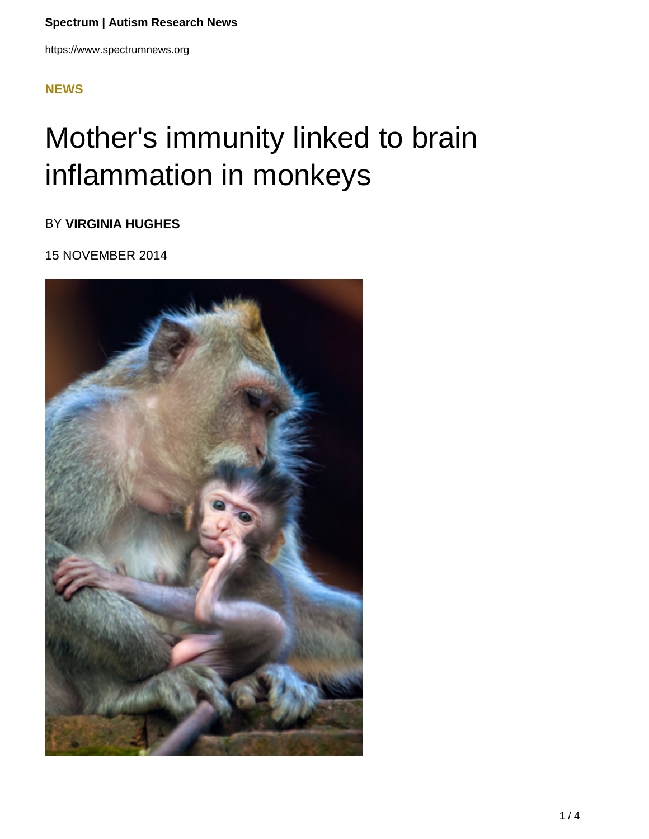## **[NEWS](HTTPS://WWW.SPECTRUMNEWS.ORG/NEWS/)**

## Mother's immunity linked to brain inflammation in monkeys

BY **VIRGINIA HUGHES**

15 NOVEMBER 2014

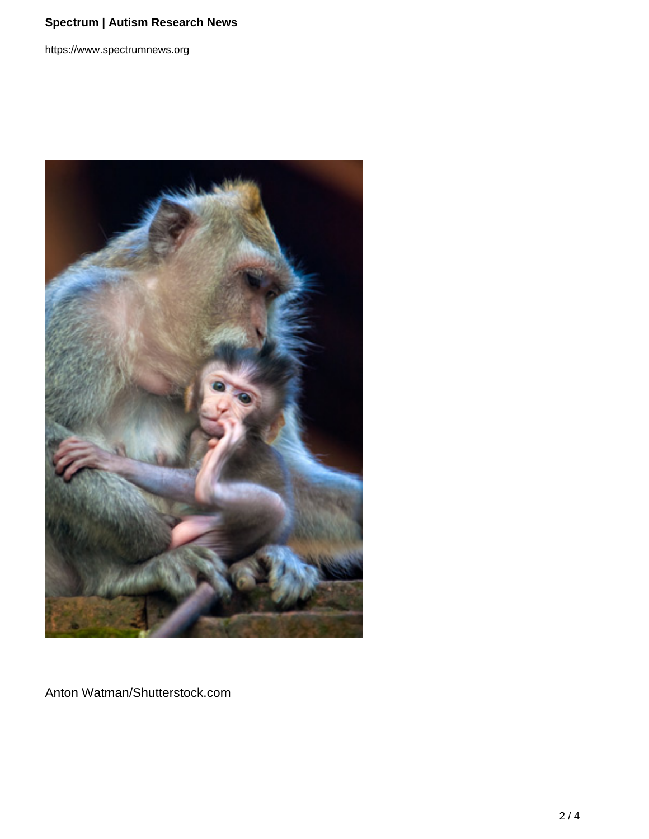https://www.spectrumnews.org



Anton Watman/Shutterstock.com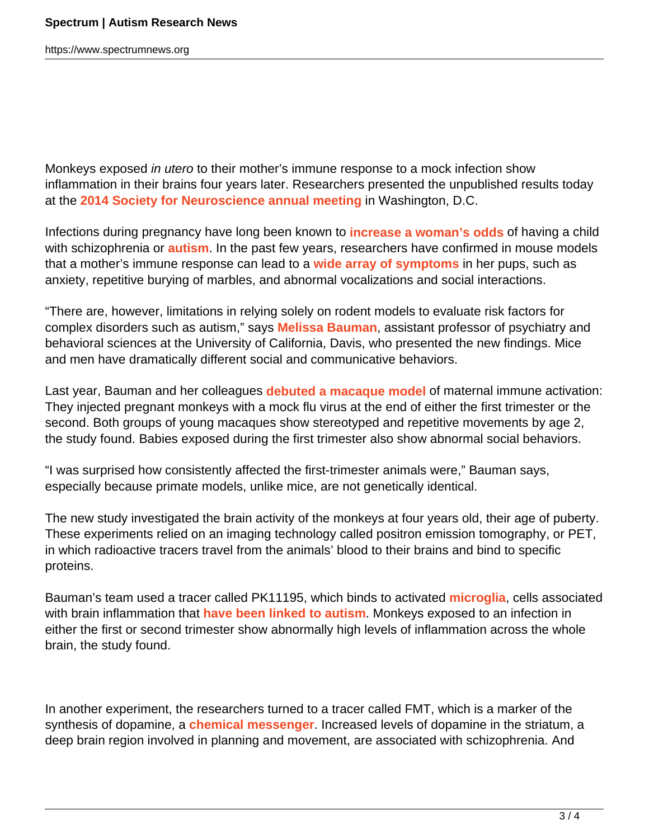https://www.spectrumnews.org

Monkeys exposed in utero to their mother's immune response to a mock infection show inflammation in their brains four years later. Researchers presented the unpublished results today at the **2014 Society for Neuroscience annual meeting** in Washington, D.C.

Infections during pregnancy have long been known to **increase a woman's odds** of having a child with schizophrenia or **autism**. In the past few years, researchers have confirmed in mouse models that a mother's immune response can lead to a **wide array of symptoms** in her pups, such as anxiety, repetitive burying of marbles, and abnormal vocalizations and social interactions.

"There are, however, limitations in relying solely on rodent models to evaluate risk factors for complex disorders such as autism," says **Melissa Bauman**, assistant professor of psychiatry and behavioral sciences at the University of California, Davis, who presented the new findings. Mice and men have dramatically different social and communicative behaviors.

Last year, Bauman and her colleagues **debuted a macaque model** of maternal immune activation: They injected pregnant monkeys with a mock flu virus at the end of either the first trimester or the second. Both groups of young macaques show stereotyped and repetitive movements by age 2, the study found. Babies exposed during the first trimester also show abnormal social behaviors.

"I was surprised how consistently affected the first-trimester animals were," Bauman says, especially because primate models, unlike mice, are not genetically identical.

The new study investigated the brain activity of the monkeys at four years old, their age of puberty. These experiments relied on an imaging technology called positron emission tomography, or PET, in which radioactive tracers travel from the animals' blood to their brains and bind to specific proteins.

Bauman's team used a tracer called PK11195, which binds to activated **microglia**, cells associated with brain inflammation that **have been linked to autism**. Monkeys exposed to an infection in either the first or second trimester show abnormally high levels of inflammation across the whole brain, the study found.

In another experiment, the researchers turned to a tracer called FMT, which is a marker of the synthesis of dopamine, a **chemical messenger**. Increased levels of dopamine in the striatum, a deep brain region involved in planning and movement, are associated with schizophrenia. And